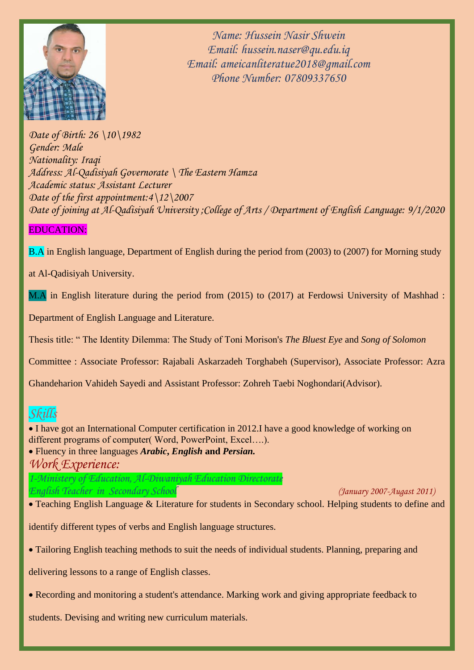

*Name: Hussein Nasir Shwein Email: hussein.naser@qu.edu.iq Email: ameicanliteratue2018@gmail.com Phone Number: 07809337650*

*Date of Birth: 26 \10\1982 Gender: Male Nationality: Iraqi Address: Al-Qadisiyah Governorate \ The Eastern Hamza Academic status: Assistant Lecturer Date of the first appointment:4\12\2007 Date of joining at Al-Qadisiyah University ;College of Arts / Department of English Language: 9/1/2020*

# EDUCATION:

B.A in English language, Department of English during the period from (2003) to (2007) for Morning study

at Al-Qadisiyah University.

M.A in English literature during the period from (2015) to (2017) at Ferdowsi University of Mashhad :

Department of English Language and Literature.

Thesis title: " The Identity Dilemma: The Study of Toni Morison's *The Bluest Eye* and *Song of Solomon*

Committee : Associate Professor: Rajabali Askarzadeh Torghabeh (Supervisor), Associate Professor: Azra

Ghandeharion Vahideh Sayedi and Assistant Professor: Zohreh Taebi Noghondari(Advisor).

# *Skills*

• I have got an International Computer certification in 2012.I have a good knowledge of working on different programs of computer( Word, PowerPoint, Excel….).

• Fluency in three languages *Arabic***,** *English* **and** *Persian. Work Experience:*

*1-Ministery of Education, Al-Diwaniyah Education Directorate English Teacher in Secondary School (January 2007-Augast 2011)*

• Teaching English Language & Literature for students in Secondary school. Helping students to define and

identify different types of verbs and English language structures.

• Tailoring English teaching methods to suit the needs of individual students. Planning, preparing and

delivering lessons to a range of English classes.

• Recording and monitoring a student's attendance. Marking work and giving appropriate feedback to

students. Devising and writing new curriculum materials.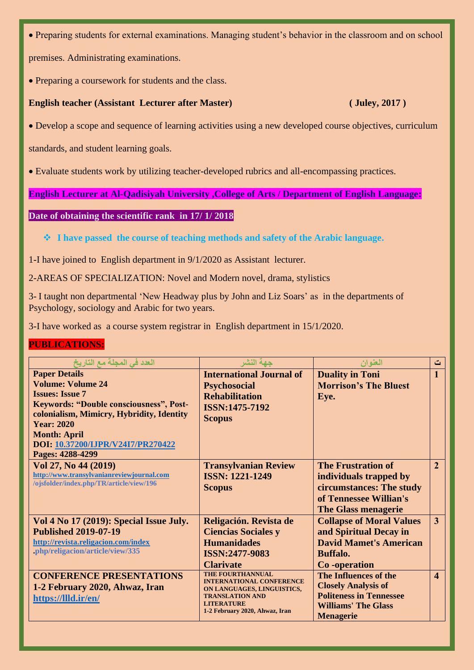• Preparing students for external examinations. Managing student's behavior in the classroom and on school

premises. Administrating examinations.

• Preparing a coursework for students and the class.

### **English teacher (Assistant Lecturer after Master)** (Juley, 2017)

• Develop a scope and sequence of learning activities using a new developed course objectives, curriculum

standards, and student learning goals.

• Evaluate students work by utilizing teacher-developed rubrics and all-encompassing practices.

**English Lecturer at Al-Qadisiyah University ,College of Arts / Department of English Language:**

### **Date of obtaining the scientific rank in 17/ 1/ 2018**

❖ **I have passed the course of teaching methods and safety of the Arabic language.**

1-I have joined to English department in 9/1/2020 as Assistant lecturer.

2-AREAS OF SPECIALIZATION: Novel and Modern novel, drama, stylistics

3- I taught non departmental 'New Headway plus by John and Liz Soars' as in the departments of Psychology, sociology and Arabic for two years.

3-I have worked as a course system registrar in English department in 15/1/2020.

### **PUBLICATIONS:**

| العدد في المجلة مع التاريخ                     | جهة النشر                                   | العنوان                         | ت                       |
|------------------------------------------------|---------------------------------------------|---------------------------------|-------------------------|
| <b>Paper Details</b>                           | <b>International Journal of</b>             | <b>Duality in Toni</b>          | $\mathbf{1}$            |
| <b>Volume: Volume 24</b>                       | <b>Psychosocial</b>                         | <b>Morrison's The Bluest</b>    |                         |
| <b>Issues: Issue 7</b>                         | <b>Rehabilitation</b>                       | Eye.                            |                         |
| <b>Keywords: "Double consciousness", Post-</b> | ISSN:1475-7192                              |                                 |                         |
| colonialism, Mimicry, Hybridity, Identity      | <b>Scopus</b>                               |                                 |                         |
| <b>Year: 2020</b>                              |                                             |                                 |                         |
| <b>Month: April</b>                            |                                             |                                 |                         |
| DOI: 10.37200/IJPR/V24I7/PR270422              |                                             |                                 |                         |
| Pages: 4288-4299                               |                                             |                                 |                         |
| Vol 27, No 44 (2019)                           | <b>Transylvanian Review</b>                 | <b>The Frustration of</b>       | $\overline{2}$          |
| http://www.transylvanianreviewjournal.com      | <b>ISSN: 1221-1249</b>                      | individuals trapped by          |                         |
| /ojsfolder/index.php/TR/article/view/196       | <b>Scopus</b>                               | circumstances: The study        |                         |
|                                                |                                             | of Tennessee Willian's          |                         |
|                                                |                                             | <b>The Glass menagerie</b>      |                         |
| Vol 4 No 17 (2019): Special Issue July.        | Religación. Revista de                      | <b>Collapse of Moral Values</b> | 3                       |
| <b>Published 2019-07-19</b>                    | <b>Ciencias Sociales y</b>                  | and Spiritual Decay in          |                         |
| http://revista.religacion.com/index            | <b>Humanidades</b>                          | <b>David Mamet's American</b>   |                         |
| .php/religacion/article/view/335               | ISSN:2477-9083                              | <b>Buffalo.</b>                 |                         |
|                                                |                                             |                                 |                         |
|                                                | <b>Clarivate</b><br>THE FOURTHANNUAL        | Co-operation                    |                         |
| <b>CONFERENCE PRESENTATIONS</b>                | <b>INTERNATIONAL CONFERENCE</b>             | The Influences of the           | $\overline{\mathbf{4}}$ |
| 1-2 February 2020, Ahwaz, Iran                 | ON LANGUAGES, LINGUISTICS,                  | <b>Closely Analysis of</b>      |                         |
| https://llld.ir/en/                            | <b>TRANSLATION AND</b><br><b>LITERATURE</b> | <b>Politeness in Tennessee</b>  |                         |
|                                                | 1-2 February 2020, Ahwaz, Iran              | <b>Williams' The Glass</b>      |                         |
|                                                |                                             | <b>Menagerie</b>                |                         |